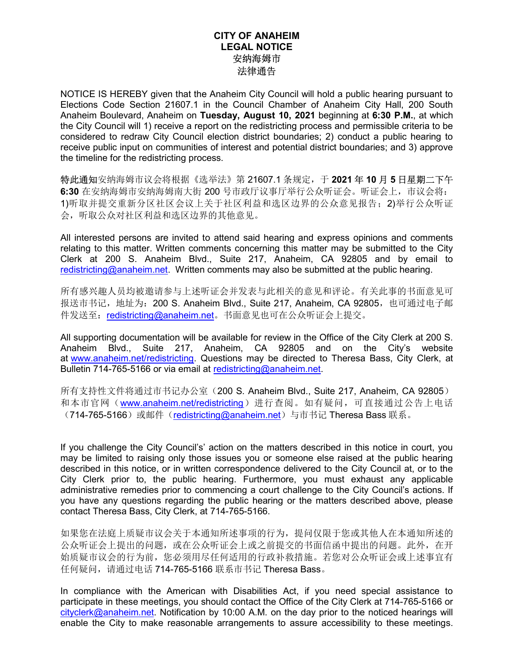## CITY OF ANAHEIM LEGAL NOTICE 安纳海姆市 法律通告

NOTICE IS HEREBY given that the Anaheim City Council will hold a public hearing pursuant to Elections Code Section 21607.1 in the Council Chamber of Anaheim City Hall, 200 South Anaheim Boulevard, Anaheim on Tuesday, August 10, 2021 beginning at 6:30 P.M., at which the City Council will 1) receive a report on the redistricting process and permissible criteria to be considered to redraw City Council election district boundaries; 2) conduct a public hearing to receive public input on communities of interest and potential district boundaries; and 3) approve the timeline for the redistricting process.

特此通知安纳海姆市议会将根据《选举法》第 21607.1 条规定, 于 2021 年 10 月 5 日星期二下午 6:30 在安纳海姆市安纳海姆南大街 200 号市政厅议事厅举行公众听证会。听证会上,市议会将: 1)听取并提交重新分区社区会议上关于社区利益和选区边界的公众意见报告;2)举行公众听证 会,听取公众对社区利益和选区边界的其他意见。

All interested persons are invited to attend said hearing and express opinions and comments relating to this matter. Written comments concerning this matter may be submitted to the City Clerk at 200 S. Anaheim Blvd., Suite 217, Anaheim, CA 92805 and by email to redistricting@anaheim.net. Written comments may also be submitted at the public hearing.

所有感兴趣人员均被邀请参与上述听证会并发表与此相关的意见和评论。有关此事的书面意见可 报送市书记, 地址为: 200 S. Anaheim Blvd., Suite 217, Anaheim, CA 92805, 也可通过电子邮 件发送至: redistricting@anaheim.net。书面意见也可在公众听证会上提交。

All supporting documentation will be available for review in the Office of the City Clerk at 200 S. Anaheim Blvd., Suite 217, Anaheim, CA 92805 and on the City's website at www.anaheim.net/redistricting. Questions may be directed to Theresa Bass, City Clerk, at Bulletin 714-765-5166 or via email at redistricting@anaheim.net.

所有支持性文件将通过市书记办公室(200 S. Anaheim Blvd., Suite 217, Anaheim, CA 92805) 和本市官网(www.anaheim.net/redistricting)进行查阅。如有疑问,可直接通过公告上电话 (714-765-5166)或邮件(redistricting@anaheim.net)与市书记 Theresa Bass 联系。

If you challenge the City Council's' action on the matters described in this notice in court, you may be limited to raising only those issues you or someone else raised at the public hearing described in this notice, or in written correspondence delivered to the City Council at, or to the City Clerk prior to, the public hearing. Furthermore, you must exhaust any applicable administrative remedies prior to commencing a court challenge to the City Council's actions. If you have any questions regarding the public hearing or the matters described above, please contact Theresa Bass, City Clerk, at 714-765-5166.

如果您在法庭上质疑市议会关于本通知所述事项的行为,提问仅限于您或其他人在本通知所述的 公众听证会上提出的问题,或在公众听证会上或之前提交的书面信函中提出的问题。此外,在开 始质疑市议会的行为前,您必须用尽任何适用的行政补救措施。若您对公众听证会或上述事宜有 任何疑问,请通过电话 714-765-5166 联系市书记 Theresa Bass。

In compliance with the American with Disabilities Act, if you need special assistance to participate in these meetings, you should contact the Office of the City Clerk at 714-765-5166 or cityclerk@anaheim.net. Notification by 10:00 A.M. on the day prior to the noticed hearings will enable the City to make reasonable arrangements to assure accessibility to these meetings.